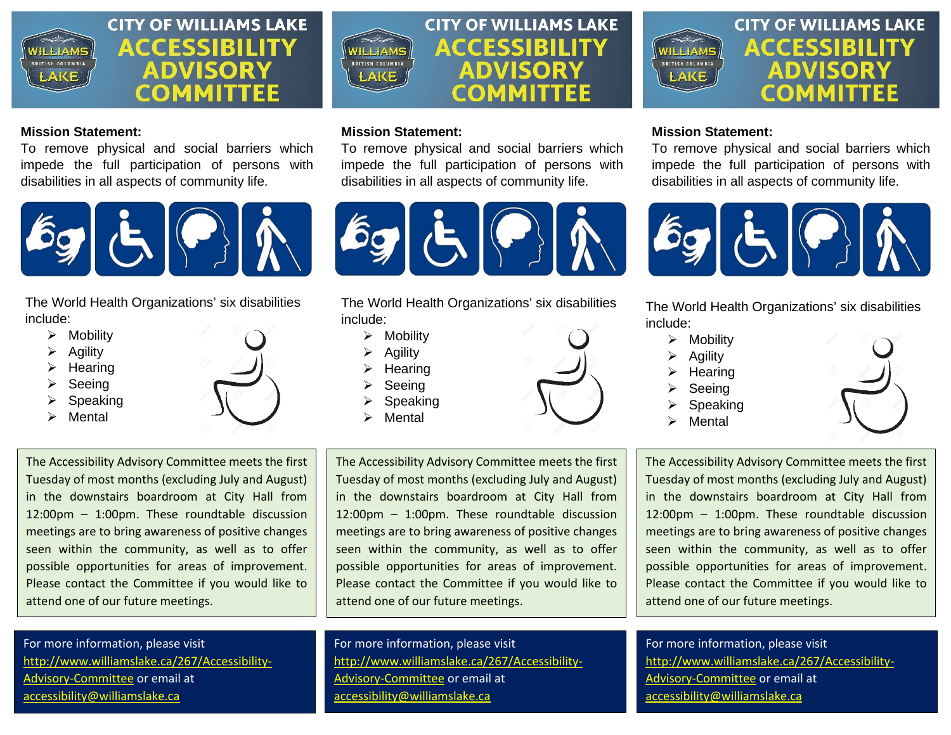

## **Mission Statement:**

To remove physical and social barriers which impede the full participation of persons with disabilities in all aspects of community life.



[The Wor](https://ctmirror.org/category/ct-viewpoints/ct-students-with-disabilities-need-to-choose-college-wisely/)ld Health Organizations' six [disabilitie](https://creativecommons.org/licenses/by-nd/3.0/)s include:

- $\triangleright$  Mobility
- $\triangleright$  Agility
- $\triangleright$  Hearing
- $\triangleright$  Seeing
- Speaking
- Mental



The Accessibility Advisory Committee meets the first Tuesday of most months (excluding July and August) in the downstairs boardroom at City Hall from 12:00pm – 1:00pm. These roundtable discussion meetings are to bring awareness of positive changes seen within the community, as well as to offer possible opportunities for areas of improvement. Please contact the Committee if you would like to attend one of our future meetings.

For more information, please visit [http://www.williamslake.ca/267/Accessibility-](http://www.williamslake.ca/267/Accessibility-Advisory-Committee)[Advisory-Committee](http://www.williamslake.ca/267/Accessibility-Advisory-Committee) or email at [accessibility@williamslake.ca](mailto:accessibility@williamslake.ca)